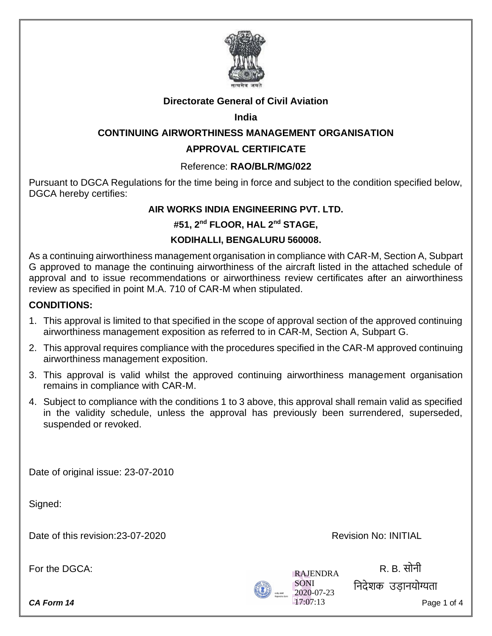

# **Directorate General of Civil Aviation**

## **India**

# **CONTINUING AIRWORTHINESS MANAGEMENT ORGANISATION**

# **APPROVAL CERTIFICATE**

## Reference: **RAO/BLR/MG/022**

Pursuant to DGCA Regulations for the time being in force and subject to the condition specified below, DGCA hereby certifies:

#### **AIR WORKS INDIA ENGINEERING PVT. LTD.**

## **#51, 2nd FLOOR, HAL 2nd STAGE,**

## **KODIHALLI, BENGALURU 560008.**

As a continuing airworthiness management organisation in compliance with CAR-M, Section A, Subpart G approved to manage the continuing airworthiness of the aircraft listed in the attached schedule of approval and to issue recommendations or airworthiness review certificates after an airworthiness review as specified in point M.A. 710 of CAR-M when stipulated.

## **CONDITIONS:**

- 1. This approval is limited to that specified in the scope of approval section of the approved continuing airworthiness management exposition as referred to in CAR-M, Section A, Subpart G.
- 2. This approval requires compliance with the procedures specified in the CAR-M approved continuing airworthiness management exposition.
- 3. This approval is valid whilst the approved continuing airworthiness management organisation remains in compliance with CAR-M.
- 4. Subject to compliance with the conditions 1 to 3 above, this approval shall remain valid as specified in the validity schedule, unless the approval has previously been surrendered, superseded, suspended or revoked.

Date of original issue: 23-07-2010

Signed:

Date of this revision: 23-07-2020 Date of this revision: 23-07-2020

For the DGCA: R. B. सोनी

**CA Form 14** Page 1 of 4



ननदेशक उड़ानयोग्यत़ा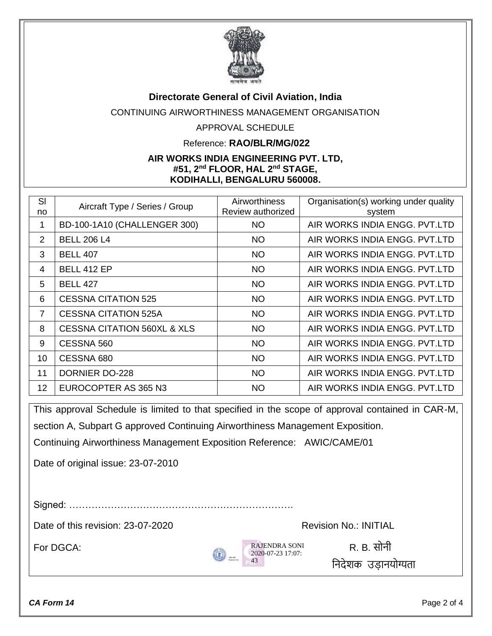

#### **Directorate General of Civil Aviation, India**

CONTINUING AIRWORTHINESS MANAGEMENT ORGANISATION

#### APPROVAL SCHEDULE

#### Reference: **RAO/BLR/MG/022**

#### **AIR WORKS INDIA ENGINEERING PVT. LTD, #51, 2nd FLOOR, HAL 2nd STAGE, KODIHALLI, BENGALURU 560008.**

| SI<br>no       | Aircraft Type / Series / Group         | <b>Airworthiness</b><br>Review authorized | Organisation(s) working under quality<br>system |
|----------------|----------------------------------------|-------------------------------------------|-------------------------------------------------|
| 1              | BD-100-1A10 (CHALLENGER 300)           | <b>NO</b>                                 | AIR WORKS INDIA ENGG, PVT.LTD                   |
| 2              | <b>BELL 206 L4</b>                     | <b>NO</b>                                 | AIR WORKS INDIA ENGG, PVT.LTD                   |
| 3              | <b>BELL 407</b>                        | <b>NO</b>                                 | AIR WORKS INDIA ENGG. PVT.LTD                   |
| 4              | <b>BELL 412 EP</b>                     | <b>NO</b>                                 | AIR WORKS INDIA ENGG, PVT.LTD                   |
| 5              | <b>BELL 427</b>                        | <b>NO</b>                                 | AIR WORKS INDIA ENGG, PVT.LTD                   |
| 6              | <b>CESSNA CITATION 525</b>             | <b>NO</b>                                 | AIR WORKS INDIA ENGG. PVT.LTD                   |
| $\overline{7}$ | <b>CESSNA CITATION 525A</b>            | <b>NO</b>                                 | AIR WORKS INDIA ENGG, PVT.LTD                   |
| 8              | <b>CESSNA CITATION 560XL &amp; XLS</b> | <b>NO</b>                                 | AIR WORKS INDIA ENGG, PVT.LTD                   |
| 9              | CESSNA 560                             | <b>NO</b>                                 | AIR WORKS INDIA ENGG, PVT.LTD                   |
| 10             | CESSNA 680                             | <b>NO</b>                                 | AIR WORKS INDIA ENGG, PVT.LTD                   |
| 11             | <b>DORNIER DO-228</b>                  | <b>NO</b>                                 | AIR WORKS INDIA ENGG. PVT.LTD                   |
| 12             | EUROCOPTER AS 365 N3                   | <b>NO</b>                                 | AIR WORKS INDIA ENGG, PVT.LTD                   |

This approval Schedule is limited to that specified in the scope of approval contained in CAR-M, section A, Subpart G approved Continuing Airworthiness Management Exposition.

Continuing Airworthiness Management Exposition Reference: AWIC/CAME/01

Date of original issue: 23-07-2010

Signed: …………………………………………………………….

Date of this revision: 23-07-2020 Revision No.: INITIAL



ननदेशक उड़ानयोग्यत़ा

*CA Form 14* Page 2 of 4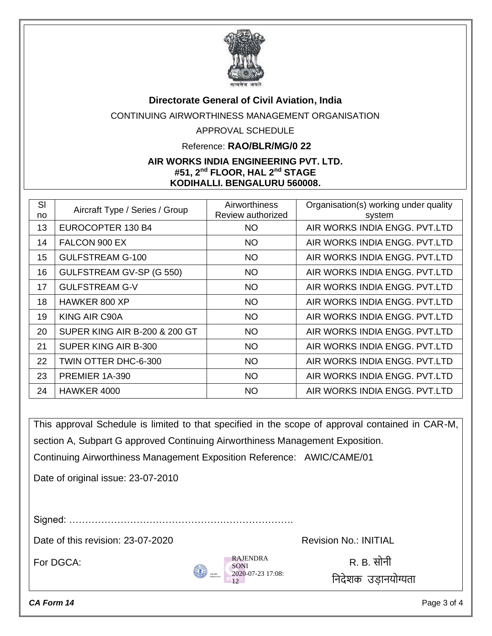

#### **Directorate General of Civil Aviation, India**

CONTINUING AIRWORTHINESS MANAGEMENT ORGANISATION

## APPROVAL SCHEDULE

#### Reference: **RAO/BLR/MG/0 22**

#### **AIR WORKS INDIA ENGINEERING PVT. LTD. #51, 2nd FLOOR, HAL 2nd STAGE KODIHALLI, BENGALURU 560008,**

| SI<br>no | Aircraft Type / Series / Group           | Airworthiness<br>Review authorized | Organisation(s) working under quality<br>system |
|----------|------------------------------------------|------------------------------------|-------------------------------------------------|
| 13       | EUROCOPTER 130 B4                        | <b>NO</b>                          | AIR WORKS INDIA ENGG. PVT.LTD                   |
| 14       | FALCON 900 EX                            | <b>NO</b>                          | AIR WORKS INDIA ENGG, PVT.LTD                   |
| 15       | <b>GULFSTREAM G-100</b>                  | <b>NO</b>                          | AIR WORKS INDIA ENGG, PVT.LTD                   |
| 16       | GULFSTREAM GV-SP (G 550)                 | <b>NO</b>                          | AIR WORKS INDIA ENGG, PVT.LTD                   |
| 17       | <b>GULFSTREAM G-V</b>                    | <b>NO</b>                          | AIR WORKS INDIA ENGG. PVT.LTD                   |
| 18       | HAWKER 800 XP                            | <b>NO</b>                          | AIR WORKS INDIA ENGG, PVT.LTD                   |
| 19       | KING AIR C90A                            | <b>NO</b>                          | AIR WORKS INDIA ENGG, PVT.LTD                   |
| 20       | <b>SUPER KING AIR B-200 &amp; 200 GT</b> | <b>NO</b>                          | AIR WORKS INDIA ENGG, PVT.LTD                   |
| 21       | SUPER KING AIR B-300                     | <b>NO</b>                          | AIR WORKS INDIA ENGG, PVT.LTD                   |
| 22       | TWIN OTTER DHC-6-300                     | <b>NO</b>                          | AIR WORKS INDIA ENGG, PVT.LTD                   |
| 23       | PREMIER 1A-390                           | <b>NO</b>                          | AIR WORKS INDIA ENGG. PVT.LTD                   |
| 24       | HAWKER 4000                              | <b>NO</b>                          | AIR WORKS INDIA ENGG. PVT.LTD                   |

This approval Schedule is limited to that specified in the scope of approval contained in CAR-M, section A, Subpart G approved Continuing Airworthiness Management Exposition. Continuing Airworthiness Management Exposition Reference: AWIC/CAME/01

Date of original issue: 23-07-2010

Signed: …………………………………………………………….

Date of this revision: 23-07-2020 Revision No.: INITIAL



ननदेशक उड़ानयोग्यत़ा

*CA Form 14* Page 3 of 4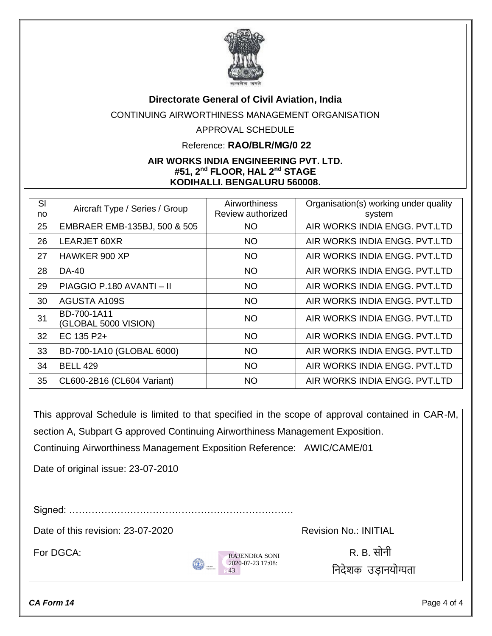

## **Directorate General of Civil Aviation, India**

CONTINUING AIRWORTHINESS MANAGEMENT ORGANISATION

## APPROVAL SCHEDULE

#### Reference: **RAO/BLR/MG/0 22**

#### **AIR WORKS INDIA ENGINEERING PVT. LTD. #51, 2nd FLOOR, HAL 2nd STAGE KODIHALLI, BENGALURU 560008,**

| SI<br>no | Aircraft Type / Series / Group      | Airworthiness<br>Review authorized | Organisation(s) working under quality<br>system |
|----------|-------------------------------------|------------------------------------|-------------------------------------------------|
| 25       | EMBRAER EMB-135BJ, 500 & 505        | <b>NO</b>                          | AIR WORKS INDIA ENGG, PVT.LTD                   |
| 26       | LEARJET 60XR                        | <b>NO</b>                          | AIR WORKS INDIA ENGG, PVT.LTD                   |
| 27       | HAWKER 900 XP                       | <b>NO</b>                          | AIR WORKS INDIA ENGG. PVT.LTD                   |
| 28       | <b>DA-40</b>                        | <b>NO</b>                          | AIR WORKS INDIA ENGG. PVT.LTD                   |
| 29       | PIAGGIO P.180 AVANTI - II           | <b>NO</b>                          | AIR WORKS INDIA ENGG, PVT.LTD                   |
| 30       | <b>AGUSTA A109S</b>                 | <b>NO</b>                          | AIR WORKS INDIA ENGG, PVT.LTD                   |
| 31       | BD-700-1A11<br>(GLOBAL 5000 VISION) | <b>NO</b>                          | AIR WORKS INDIA ENGG, PVT.LTD                   |
| 32       | EC 135 P2+                          | <b>NO</b>                          | AIR WORKS INDIA ENGG. PVT.LTD                   |
| 33       | BD-700-1A10 (GLOBAL 6000)           | <b>NO</b>                          | AIR WORKS INDIA ENGG, PVT.LTD                   |
| 34       | <b>BELL 429</b>                     | <b>NO</b>                          | AIR WORKS INDIA ENGG, PVT.LTD                   |
| 35       | CL600-2B16 (CL604 Variant)          | <b>NO</b>                          | AIR WORKS INDIA ENGG, PVT.LTD                   |

This approval Schedule is limited to that specified in the scope of approval contained in CAR-M, section A, Subpart G approved Continuing Airworthiness Management Exposition.

Continuing Airworthiness Management Exposition Reference: AWIC/CAME/01

Date of original issue: 23-07-2010

Signed: …………………………………………………………….

Date of this revision: 23-07-2020 Revision No.: INITIAL



For DGCA: R. B. सोनी ननदेशक उड़ानयोग्यत़ा

*CA Form 14* Page 4 of 4